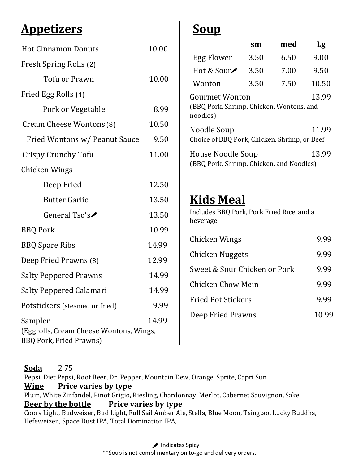## **Appetizers**

| <b>Hot Cinnamon Donuts</b>                                                           | 10.00 |
|--------------------------------------------------------------------------------------|-------|
| Fresh Spring Rolls (2)                                                               |       |
| Tofu or Prawn                                                                        | 10.00 |
| Fried Egg Rolls (4)                                                                  |       |
| Pork or Vegetable                                                                    | 8.99  |
| Cream Cheese Wontons (8)                                                             | 10.50 |
| Fried Wontons w/ Peanut Sauce                                                        | 9.50  |
| Crispy Crunchy Tofu                                                                  | 11.00 |
| Chicken Wings                                                                        |       |
| Deep Fried                                                                           | 12.50 |
| <b>Butter Garlic</b>                                                                 | 13.50 |
| General Tso's $\blacktriangleright$                                                  | 13.50 |
| <b>BBQ Pork</b>                                                                      | 10.99 |
| <b>BBQ Spare Ribs</b>                                                                | 14.99 |
| Deep Fried Prawns (8)                                                                | 12.99 |
| <b>Salty Peppered Prawns</b>                                                         | 14.99 |
| Salty Peppered Calamari                                                              | 14.99 |
| Potstickers (steamed or fried)                                                       | 9.99  |
| Sampler<br>(Eggrolls, Cream Cheese Wontons, Wings,<br><b>BBQ Pork, Fried Prawns)</b> | 14.99 |

# **Soup**

|                                                                                        | sm   | med  | Lg    |
|----------------------------------------------------------------------------------------|------|------|-------|
| Egg Flower                                                                             | 3.50 | 6.50 | 9.00  |
| Hot & Sour $\blacktriangleright$                                                       | 3.50 | 7.00 | 9.50  |
| Wonton                                                                                 | 3.50 | 7.50 | 10.50 |
| 13.99<br><b>Gourmet Wonton</b><br>(BBQ Pork, Shrimp, Chicken, Wontons, and<br>noodles) |      |      |       |
| Noodle Soup<br>Choice of BBQ Pork, Chicken, Shrimp, or Beef                            |      |      | 11.99 |
| House Noodle Soup<br>(BBQ Pork, Shrimp, Chicken, and Noodles)                          |      |      | 13.99 |

## **Kids Meal**

Includes BBQ Pork, Pork Fried Rice, and a beverage.

| Chicken Wings                | <u>y 99</u> |
|------------------------------|-------------|
| Chicken Nuggets              | 9.99        |
| Sweet & Sour Chicken or Pork | 9.99        |
| Chicken Chow Mein            | 9.99        |
| <b>Fried Pot Stickers</b>    | 9.99        |
| Deep Fried Prawns            | 10.99       |

**Soda** 2.75 Pepsi, Diet Pepsi, Root Beer, Dr. Pepper, Mountain Dew, Orange, Sprite, Capri Sun **Wine Price varies by type** Plum, White Zinfandel, Pinot Grigio, Riesling, Chardonnay, Merlot, Cabernet Sauvignon, Sake **Beer by the bottle Price varies by type** Coors Light, Budweiser, Bud Light, Full Sail Amber Ale, Stella, Blue Moon, Tsingtao, Lucky Buddha, Hefeweizen, Space Dust IPA, Total Domination IPA,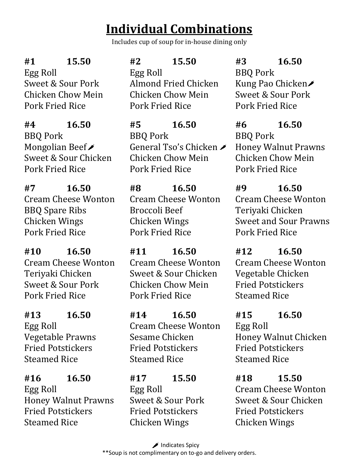# **Individual Combinations**

Includes cup of soup for in-house dining only

**#1 15.50**

Egg Roll Sweet & Sour Pork Chicken Chow Mein Pork Fried Rice

**#4 16.50** BBQ Pork Mongolian Beef Sweet & Sour Chicken Pork Fried Rice

**#7 16.50** Cream Cheese Wonton BBQ Spare Ribs Chicken Wings Pork Fried Rice

**#10 16.50** Cream Cheese Wonton Teriyaki Chicken Sweet & Sour Pork Pork Fried Rice

**#13 16.50** Egg Roll Vegetable Prawns Fried Potstickers Steamed Rice

**#16 16.50** Egg Roll Honey Walnut Prawns Fried Potstickers Steamed Rice

## **#2 15.50**

Egg Roll Almond Fried Chicken Chicken Chow Mein Pork Fried Rice

**#5 16.50** BBQ Pork General Tso's Chicken Chicken Chow Mein Pork Fried Rice

**#8 16.50** Cream Cheese Wonton Broccoli Beef Chicken Wings Pork Fried Rice

**#11 16.50** Cream Cheese Wonton Sweet & Sour Chicken Chicken Chow Mein Pork Fried Rice

**#14 16.50** Cream Cheese Wonton Sesame Chicken Fried Potstickers Steamed Rice

**#17 15.50** Egg Roll Sweet & Sour Pork Fried Potstickers Chicken Wings

**#3 16.50** BBQ Pork Kung Pao Chicken Sweet & Sour Pork Pork Fried Rice

**#6 16.50** BBQ Pork Honey Walnut Prawns Chicken Chow Mein Pork Fried Rice

**#9 16.50** Cream Cheese Wonton Teriyaki Chicken Sweet and Sour Prawns Pork Fried Rice

**#12 16.50** Cream Cheese Wonton Vegetable Chicken Fried Potstickers Steamed Rice

**#15 16.50** Egg Roll Honey Walnut Chicken Fried Potstickers Steamed Rice

**#18 15.50** Cream Cheese Wonton Sweet & Sour Chicken Fried Potstickers Chicken Wings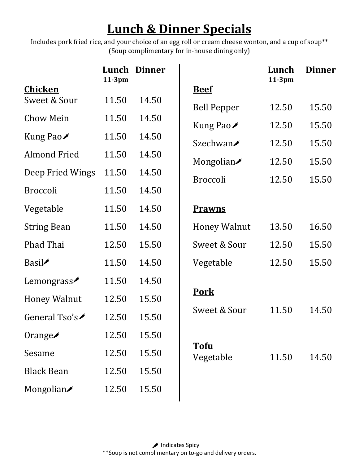# **Lunch & Dinner Specials**

Includes pork fried rice, and your choice of an egg roll or cream cheese wonton, and a cup of soup\*\* (Soup complimentary for in-house dining only)

|       |           |                     | Lunch                                                                                                   | <b>Dinner</b>                                 |
|-------|-----------|---------------------|---------------------------------------------------------------------------------------------------------|-----------------------------------------------|
|       |           | <b>Beef</b>         |                                                                                                         |                                               |
| 11.50 | 14.50     |                     | 12.50                                                                                                   | 15.50                                         |
| 11.50 | 14.50     |                     |                                                                                                         | 15.50                                         |
| 11.50 | 14.50     |                     |                                                                                                         | 15.50                                         |
| 11.50 | 14.50     |                     |                                                                                                         | 15.50                                         |
| 11.50 | 14.50     |                     |                                                                                                         |                                               |
| 11.50 | 14.50     |                     |                                                                                                         | 15.50                                         |
| 11.50 | 14.50     | <b>Prawns</b>       |                                                                                                         |                                               |
| 11.50 | 14.50     | <b>Honey Walnut</b> | 13.50                                                                                                   | 16.50                                         |
| 12.50 | 15.50     | Sweet & Sour        | 12.50                                                                                                   | 15.50                                         |
| 11.50 | 14.50     | Vegetable           | 12.50                                                                                                   | 15.50                                         |
| 11.50 | 14.50     |                     |                                                                                                         |                                               |
| 12.50 | 15.50     | <b>Pork</b>         |                                                                                                         |                                               |
| 12.50 | 15.50     | Sweet & Sour        | 11.50                                                                                                   | 14.50                                         |
| 12.50 | 15.50     |                     |                                                                                                         |                                               |
| 12.50 | 15.50     | <b>Tofu</b>         | 11.50                                                                                                   | 14.50                                         |
| 12.50 | 15.50     |                     |                                                                                                         |                                               |
| 12.50 | 15.50     |                     |                                                                                                         |                                               |
|       | $11-3$ pm | Lunch Dinner        | <b>Bell Pepper</b><br>Kung Pao $\ell$<br>Szechwan <b>∕</b><br>Mongolian<br><b>Broccoli</b><br>Vegetable | $11-3$ pm<br>12.50<br>12.50<br>12.50<br>12.50 |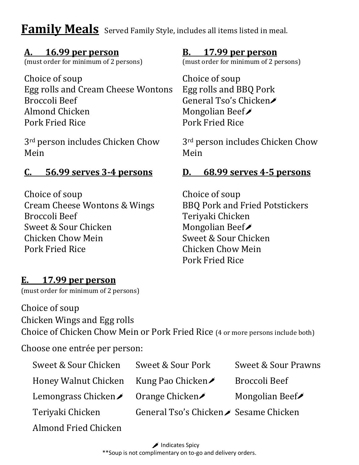## **Family Meals** Served Family Style, includes all items listed in meal.

#### **A. 16.99 per person**

(must order for minimum of 2 persons)

Choice of soup Egg rolls and Cream Cheese Wontons Broccoli Beef Almond Chicken Pork Fried Rice

3rd person includes Chicken Chow Mein

## **C. 56.99 serves 3-4 persons**

Choice of soup Cream Cheese Wontons & Wings Broccoli Beef Sweet & Sour Chicken Chicken Chow Mein Pork Fried Rice

#### **B. 17.99 per person**

(must order for minimum of 2 persons)

Choice of soup Egg rolls and BBQ Pork General Tso's Chicken Mongolian Beef Pork Fried Rice

3rd person includes Chicken Chow Mein

## **D. 68.99 serves 4-5 persons**

Choice of soup BBQ Pork and Fried Potstickers Teriyaki Chicken Mongolian Beef Sweet & Sour Chicken Chicken Chow Mein Pork Fried Rice

## **E. 17.99 per person**

(must order for minimum of 2 persons)

## Choice of soup

Chicken Wings and Egg rolls

Choice of Chicken Chow Mein or Pork Fried Rice (4 or more persons include both)

Choose one entrée per person:

| Sweet & Sour Chicken                                | Sweet & Sour Pork                      | Sweet & Sour Prawns                  |
|-----------------------------------------------------|----------------------------------------|--------------------------------------|
| Honey Walnut Chicken                                | Kung Pao Chicken $\blacktriangleright$ | Broccoli Beef                        |
| Lemongrass Chicken <b>Constraint</b> Orange Chicken |                                        | Mongolian Beef $\blacktriangleright$ |
| Teriyaki Chicken                                    | General Tso's Chicken∕ Sesame Chicken  |                                      |
| Almond Fried Chicken                                |                                        |                                      |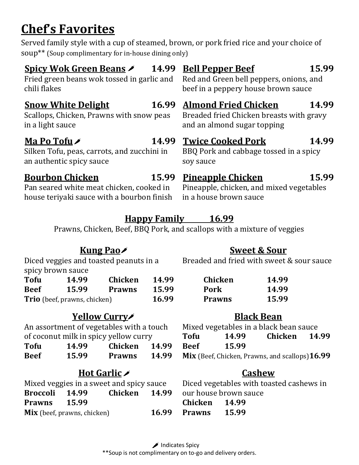# **Chef's Favorites**

Served family style with a cup of steamed, brown, or pork fried rice and your choice of soup\*\* (Soup complimentary for in-house dining only)

| <b>Spicy Wok Green Beans /</b>              | 15.99                                    |  |
|---------------------------------------------|------------------------------------------|--|
| 14.99                                       | <b>Bell Pepper Beef</b>                  |  |
| Fried green beans wok tossed in garlic and  | Red and Green bell peppers, onions, and  |  |
| chili flakes                                | beef in a peppery house brown sauce      |  |
| 16.99                                       | <b>Almond Fried Chicken</b>              |  |
| <b>Snow White Delight</b>                   | 14.99                                    |  |
| Scallops, Chicken, Prawns with snow peas    | Breaded fried Chicken breasts with gravy |  |
| in a light sauce                            | and an almond sugar topping              |  |
| 14.99                                       | 14.99                                    |  |
| Ma Po Tofu $\lambda$                        | <b>Twice Cooked Pork</b>                 |  |
| Silken Tofu, peas, carrots, and zucchini in | BBQ Pork and cabbage tossed in a spicy   |  |
| an authentic spicy sauce                    | soy sauce                                |  |
| <b>Bourbon Chicken</b>                      | <b>Pineapple Chicken</b>                 |  |
| 15.99                                       | 15.99                                    |  |
| Pan seared white meat chicken, cooked in    | Pineapple, chicken, and mixed vegetables |  |

house teriyaki sauce with a bourbon finish in a house brown sauce

## **Happy Family 16.99**

Prawns, Chicken, Beef, BBQ Pork, and scallops with a mixture of veggies

## **Kung Pao**

spicy brown sauce

| <b>Tofu</b>                         | 14.99 | Chicken       | 14.99 |
|-------------------------------------|-------|---------------|-------|
| <b>Beef</b>                         | 15.99 | <b>Prawns</b> | 15.99 |
| <b>Trio</b> (beef, prawns, chicken) | 16.99 |               |       |

## **Yellow Curry**

An assortment of vegetables with a touch of coconut milk in spicy yellow curry

| <b>Tofu</b> | 14.99 | Chicken       | 14.99 |
|-------------|-------|---------------|-------|
| <b>Beef</b> | 15.99 | <b>Prawns</b> | 14.99 |

## **Hot Garlic**

|                     |                                    | Mixed veggies in a sweet and spicy sauce |       |
|---------------------|------------------------------------|------------------------------------------|-------|
| Broccoli 14.99      |                                    | Chicken 14.99                            |       |
| <b>Prawns</b> 15.99 |                                    |                                          |       |
|                     | <b>Mix</b> (beef, prawns, chicken) |                                          | 16.99 |

#### **Sweet & Sour**

Diced veggies and toasted peanuts in a **Breaded and fried with sweet & sour sauce** 

| <b>Chicken</b> | 14.99 |
|----------------|-------|
| <b>Pork</b>    | 14.99 |
| <b>Prawns</b>  | 15.99 |

## **Black Bean**

|             |       | Mixed vegetables in a black bean sauce          |  |
|-------------|-------|-------------------------------------------------|--|
| <b>Tofu</b> | 14.99 | Chicken 14.99                                   |  |
| <b>Beef</b> | 15.99 |                                                 |  |
|             |       | Mix (Beef, Chicken, Prawns, and scallops) 16.99 |  |

## **Cashew**

Diced vegetables with toasted cashews in our house brown sauce **Chicken 14.99**

**Prawns 15.99**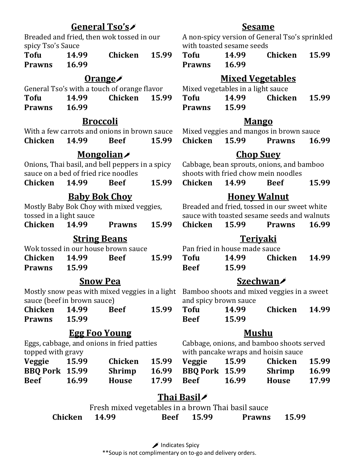## **General Tso's**

Breaded and fried, then wok tossed in our spicy Tso's Sauce

**Tofu 14.99 Chicken 15.99 Prawns 16.99**

#### **Orange**

General Tso's with a touch of orange flavor

**Tofu 14.99 Chicken 15.99 Prawns 16.99**

## **Broccoli**

With a few carrots and onions in brown sauce **Chicken 14.99 Beef 15.99**

## **Mongolian**

Onions, Thai basil, and bell peppers in a spicy sauce on a bed of fried rice noodles

**Chicken 14.99 Beef 15.99**

## **Baby Bok Choy**

Mostly Baby Bok Choy with mixed veggies, tossed in a light sauce

**Chicken 14.99 Prawns 15.99**

#### **String Beans**

|                    |       | Wok tossed in our house brown sauce |       |
|--------------------|-------|-------------------------------------|-------|
| Chicken 14.99 Beef |       |                                     | 15.99 |
| Prawns             | 15.99 |                                     |       |

#### **Snow Pea**

Mostly snow peas with mixed veggies in a light Bamboo shoots and mixed veggies in a sweet sauce (beef in brown sauce)

| <b>Chicken</b> | 14.99 | <b>Beef</b> | 15.99 |
|----------------|-------|-------------|-------|
| <b>Prawns</b>  | 15.99 |             |       |

## **Egg Foo Young**

Eggs, cabbage, and onions in fried patties topped with gravy

| <b>Veggie</b>         | 15.99 | Chicken       | 15.99 |
|-----------------------|-------|---------------|-------|
| <b>BBQ Pork 15.99</b> |       | <b>Shrimp</b> | 16.99 |
| <b>Beef</b>           | 16.99 | House         | 17.99 |

## **Sesame**

A non-spicy version of General Tso's sprinkled with toasted sesame seeds

**Tofu 14.99 Chicken 15.99 Prawns 16.99**

#### **Mixed Vegetables**

Mixed vegetables in a light sauce

**Tofu 14.99 Chicken 15.99 Prawns 15.99**

#### **Mango**

Mixed veggies and mangos in brown sauce **Chicken 15.99 Prawns 16.99**

## **Chop Suey**

Cabbage, bean sprouts, onions, and bamboo shoots with fried chow mein noodles

**Chicken 14.99 Beef 15.99**

#### **Honey Walnut**

Breaded and fried, tossed in our sweet white sauce with toasted sesame seeds and walnuts

|  | Chicken | 15.99 | <b>Prawns</b> | 16.99 |
|--|---------|-------|---------------|-------|
|--|---------|-------|---------------|-------|

## **Teriyaki**

Pan fried in house made sauce

| <b>Tofu</b> | 14.99 | Chicken | 14.99 |
|-------------|-------|---------|-------|
| <b>Beef</b> | 15.99 |         |       |

## **Szechwan**

and spicy brown sauce

| <b>Tofu</b> | 14.99 | Chicken | 14.99 |
|-------------|-------|---------|-------|
| <b>Beef</b> | 15.99 |         |       |

## **Mushu**

Cabbage, onions, and bamboo shoots served with pancake wraps and hoisin sauce

| 15.99    |                             | Chicken 15.99 Veggie 15.99 |       | Chicken 15.99 |       |
|----------|-----------------------------|----------------------------|-------|---------------|-------|
| rk 15.99 | Shrimp 16.99 BBQ Pork 15.99 |                            |       | Shrimp 16.99  |       |
| 16.99    | House                       | 17.99 Beef                 | 16.99 | House         | 17.99 |

## **Thai Basil**

Fresh mixed vegetables in a brown Thai basil sauce

| Chicken 14.99 |  |  | Beef 15.99 | Prawns 15.99 |  |
|---------------|--|--|------------|--------------|--|
|---------------|--|--|------------|--------------|--|